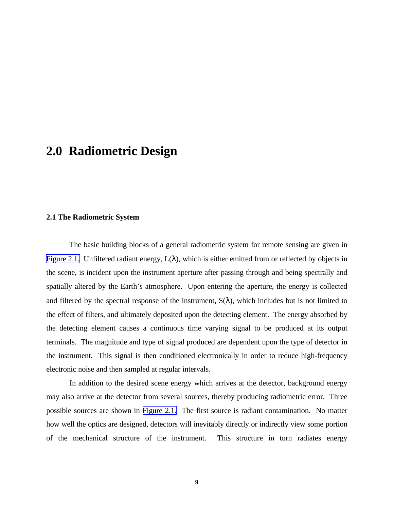# **2.0 Radiometric Design**

# **2.1 The Radiometric System**

The basic building blocks of a general radiometric system for remote sensing are given in [Figure 2.1.](#page-1-0) Unfiltered radiant energy,  $L(\lambda)$ , which is either emitted from or reflected by objects in the scene, is incident upon the instrument aperture after passing through and being spectrally and spatially altered by the Earth's atmosphere. Upon entering the aperture, the energy is collected and filtered by the spectral response of the instrument,  $S(\lambda)$ , which includes but is not limited to the effect of filters, and ultimately deposited upon the detecting element. The energy absorbed by the detecting element causes a continuous time varying signal to be produced at its output terminals. The magnitude and type of signal produced are dependent upon the type of detector in the instrument. This signal is then conditioned electronically in order to reduce high-frequency electronic noise and then sampled at regular intervals.

In addition to the desired scene energy which arrives at the detector, background energy may also arrive at the detector from several sources, thereby producing radiometric error. Three possible sources are shown in [Figure 2.1.](#page-1-0) The first source is radiant contamination. No matter how well the optics are designed, detectors will inevitably directly or indirectly view some portion of the mechanical structure of the instrument. This structure in turn radiates energy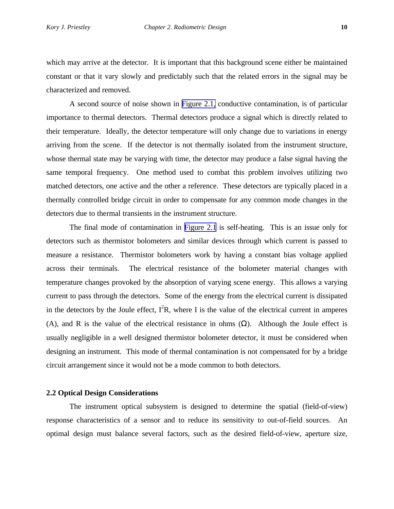<span id="page-1-0"></span>which may arrive at the detector. It is important that this background scene either be maintained constant or that it vary slowly and predictably such that the related errors in the signal may be characterized and removed.

A second source of noise shown in Figure 2.1, conductive contamination, is of particular importance to thermal detectors. Thermal detectors produce a signal which is directly related to their temperature. Ideally, the detector temperature will only change due to variations in energy arriving from the scene. If the detector is not thermally isolated from the instrument structure, whose thermal state may be varying with time, the detector may produce a false signal having the same temporal frequency. One method used to combat this problem involves utilizing two matched detectors, one active and the other a reference. These detectors are typically placed in a thermally controlled bridge circuit in order to compensate for any common mode changes in the detectors due to thermal transients in the instrument structure.

The final mode of contamination in Figure 2.1 is self-heating. This is an issue only for detectors such as thermistor bolometers and similar devices through which current is passed to measure a resistance. Thermistor bolometers work by having a constant bias voltage applied across their terminals. The electrical resistance of the bolometer material changes with temperature changes provoked by the absorption of varying scene energy. This allows a varying current to pass through the detectors. Some of the energy from the electrical current is dissipated in the detectors by the Joule effect,  $I^2R$ , where I is the value of the electrical current in amperes (A), and R is the value of the electrical resistance in ohms  $(\Omega)$ . Although the Joule effect is usually negligible in a well designed thermistor bolometer detector, it must be considered when designing an instrument. This mode of thermal contamination is not compensated for by a bridge circuit arrangement since it would not be a mode common to both detectors.

## **2.2 Optical Design Considerations**

The instrument optical subsystem is designed to determine the spatial (field-of-view) response characteristics of a sensor and to reduce its sensitivity to out-of-field sources. An optimal design must balance several factors, such as the desired field-of-view, aperture size,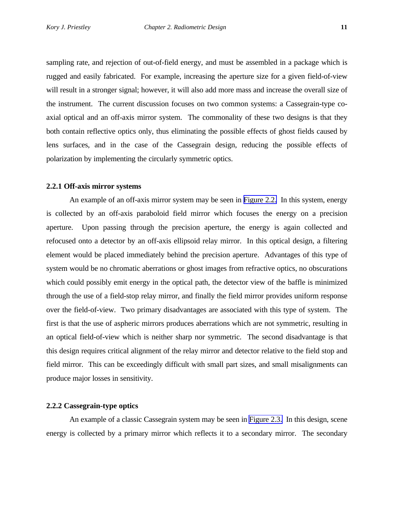sampling rate, and rejection of out-of-field energy, and must be assembled in a package which is rugged and easily fabricated. For example, increasing the aperture size for a given field-of-view will result in a stronger signal; however, it will also add more mass and increase the overall size of the instrument. The current discussion focuses on two common systems: a Cassegrain-type coaxial optical and an off-axis mirror system. The commonality of these two designs is that they both contain reflective optics only, thus eliminating the possible effects of ghost fields caused by lens surfaces, and in the case of the Cassegrain design, reducing the possible effects of polarization by implementing the circularly symmetric optics.

#### **2.2.1 Off-axis mirror systems**

An example of an off-axis mirror system may be seen in Figure 2.2. In this system, energy is collected by an off-axis paraboloid field mirror which focuses the energy on a precision aperture. Upon passing through the precision aperture, the energy is again collected and refocused onto a detector by an off-axis ellipsoid relay mirror. In this optical design, a filtering element would be placed immediately behind the precision aperture. Advantages of this type of system would be no chromatic aberrations or ghost images from refractive optics, no obscurations which could possibly emit energy in the optical path, the detector view of the baffle is minimized through the use of a field-stop relay mirror, and finally the field mirror provides uniform response over the field-of-view. Two primary disadvantages are associated with this type of system. The first is that the use of aspheric mirrors produces aberrations which are not symmetric, resulting in an optical field-of-view which is neither sharp nor symmetric. The second disadvantage is that this design requires critical alignment of the relay mirror and detector relative to the field stop and field mirror. This can be exceedingly difficult with small part sizes, and small misalignments can produce major losses in sensitivity.

#### **2.2.2 Cassegrain-type optics**

An example of a classic Cassegrain system may be seen in [Figure 2.3.](#page-3-0) In this design, scene energy is collected by a primary mirror which reflects it to a secondary mirror. The secondary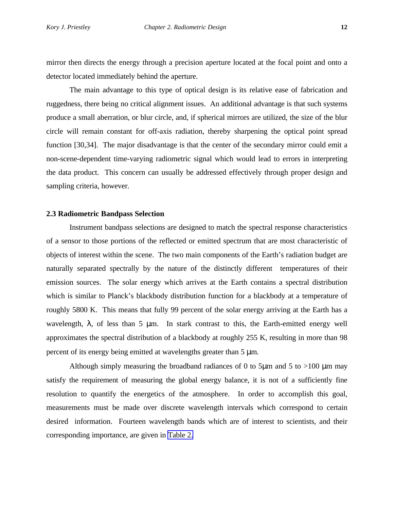<span id="page-3-0"></span>mirror then directs the energy through a precision aperture located at the focal point and onto a detector located immediately behind the aperture.

The main advantage to this type of optical design is its relative ease of fabrication and ruggedness, there being no critical alignment issues. An additional advantage is that such systems produce a small aberration, or blur circle, and, if spherical mirrors are utilized, the size of the blur circle will remain constant for off-axis radiation, thereby sharpening the optical point spread function [30,34]. The major disadvantage is that the center of the secondary mirror could emit a non-scene-dependent time-varying radiometric signal which would lead to errors in interpreting the data product. This concern can usually be addressed effectively through proper design and sampling criteria, however.

## **2.3 Radiometric Bandpass Selection**

Instrument bandpass selections are designed to match the spectral response characteristics of a sensor to those portions of the reflected or emitted spectrum that are most characteristic of objects of interest within the scene.The two main components of the Earth's radiation budget are naturally separated spectrally by the nature of the distinctly different temperatures of their emission sources. The solar energy which arrives at the Earth contains a spectral distribution which is similar to Planck's blackbody distribution function for a blackbody at a temperature of roughly 5800 K. This means that fully 99 percent of the solar energy arriving at the Earth has a wavelength,  $\lambda$ , of less than 5  $\mu$ m. In stark contrast to this, the Earth-emitted energy well approximates the spectral distribution of a blackbody at roughly 255 K, resulting in more than 98 percent of its energy being emitted at wavelengths greater than 5 μm.

Although simply measuring the broadband radiances of 0 to 5 km and 5 to  $>100 \mu$ m may satisfy the requirement of measuring the global energy balance, it is not of a sufficiently fine resolution to quantify the energetics of the atmosphere. In order to accomplish this goal, measurements must be made over discrete wavelength intervals which correspond to certain desired information. Fourteen wavelength bands which are of interest to scientists, and their corresponding importance, are given in [Table 2.](#page-1-0)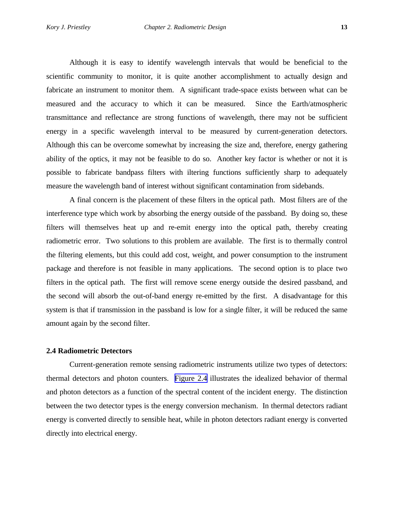Although it is easy to identify wavelength intervals that would be beneficial to the scientific community to monitor, it is quite another accomplishment to actually design and fabricate an instrument to monitor them. A significant trade-space exists between what can be measured and the accuracy to which it can be measured. Since the Earth/atmospheric transmittance and reflectance are strong functions of wavelength, there may not be sufficient energy in a specific wavelength interval to be measured by current-generation detectors. Although this can be overcome somewhat by increasing the size and, therefore, energy gathering ability of the optics, it may not be feasible to do so. Another key factor is whether or not it is possible to fabricate bandpass filters with iltering functions sufficiently sharp to adequately measure the wavelength band of interest without significant contamination from sidebands.

A final concern is the placement of these filters in the optical path. Most filters are of the interference type which work by absorbing the energy outside of the passband. By doing so, these filters will themselves heat up and re-emit energy into the optical path, thereby creating radiometric error. Two solutions to this problem are available. The first is to thermally control the filtering elements, but this could add cost, weight, and power consumption to the instrument package and therefore is not feasible in many applications. The second option is to place two filters in the optical path. The first will remove scene energy outside the desired passband, and the second will absorb the out-of-band energy re-emitted by the first. A disadvantage for this system is that if transmission in the passband is low for a single filter, it will be reduced the same amount again by the second filter.

# **2.4 Radiometric Detectors**

Current-generation remote sensing radiometric instruments utilize two types of detectors: thermal detectors and photon counters. Figure 2.4 illustrates the idealized behavior of thermal and photon detectors as a function of the spectral content of the incident energy. The distinction between the two detector types is the energy conversion mechanism. In thermal detectors radiant energy is converted directly to sensible heat, while in photon detectors radiant energy is converted directly into electrical energy.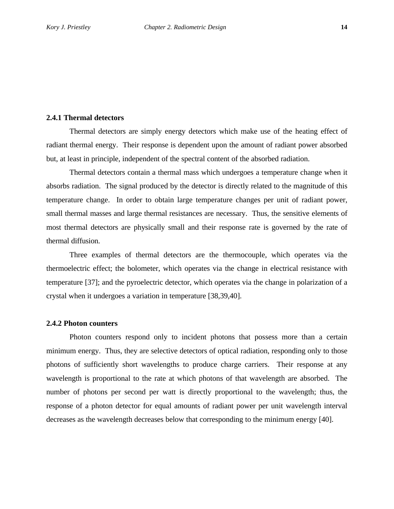# <span id="page-5-0"></span>**2.4.1 Thermal detectors**

Thermal detectors are simply energy detectors which make use of the heating effect of radiant thermal energy. Their response is dependent upon the amount of radiant power absorbed but, at least in principle, independent of the spectral content of the absorbed radiation.

Thermal detectors contain a thermal mass which undergoes a temperature change when it absorbs radiation. The signal produced by the detector is directly related to the magnitude of this temperature change. In order to obtain large temperature changes per unit of radiant power, small thermal masses and large thermal resistances are necessary. Thus, the sensitive elements of most thermal detectors are physically small and their response rate is governed by the rate of thermal diffusion.

Three examples of thermal detectors are the thermocouple, which operates via the thermoelectric effect; the bolometer, which operates via the change in electrical resistance with temperature [37]; and the pyroelectric detector, which operates via the change in polarization of a crystal when it undergoes a variation in temperature [38,39,40].

## **2.4.2 Photon counters**

Photon counters respond only to incident photons that possess more than a certain minimum energy. Thus, they are selective detectors of optical radiation, responding only to those photons of sufficiently short wavelengths to produce charge carriers. Their response at any wavelength is proportional to the rate at which photons of that wavelength are absorbed. The number of photons per second per watt is directly proportional to the wavelength; thus, the response of a photon detector for equal amounts of radiant power per unit wavelength interval decreases as the wavelength decreases below that corresponding to the minimum energy [40].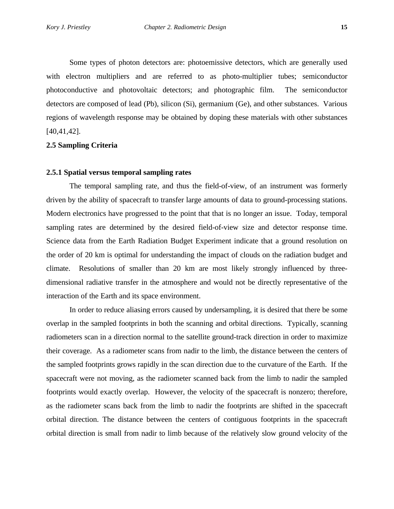<span id="page-6-0"></span>Some types of photon detectors are: photoemissive detectors, which are generally used with electron multipliers and are referred to as photo-multiplier tubes; semiconductor photoconductive and photovoltaic detectors; and photographic film. The semiconductor detectors are composed of lead (Pb), silicon (Si), germanium (Ge), and other substances. Various regions of wavelength response may be obtained by doping these materials with other substances [40,41,42].

## **2.5 Sampling Criteria**

#### **2.5.1 Spatial versus temporal sampling rates**

The temporal sampling rate, and thus the field-of-view, of an instrument was formerly driven by the ability of spacecraft to transfer large amounts of data to ground-processing stations. Modern electronics have progressed to the point that that is no longer an issue. Today, temporal sampling rates are determined by the desired field-of-view size and detector response time. Science data from the Earth Radiation Budget Experiment indicate that a ground resolution on the order of 20 km is optimal for understanding the impact of clouds on the radiation budget and climate. Resolutions of smaller than 20 km are most likely strongly influenced by threedimensional radiative transfer in the atmosphere and would not be directly representative of the interaction of the Earth and its space environment.

In order to reduce aliasing errors caused by undersampling, it is desired that there be some overlap in the sampled footprints in both the scanning and orbital directions. Typically, scanning radiometers scan in a direction normal to the satellite ground-track direction in order to maximize their coverage. As a radiometer scans from nadir to the limb, the distance between the centers of the sampled footprints grows rapidly in the scan direction due to the curvature of the Earth. If the spacecraft were not moving, as the radiometer scanned back from the limb to nadir the sampled footprints would exactly overlap. However, the velocity of the spacecraft is nonzero; therefore, as the radiometer scans back from the limb to nadir the footprints are shifted in the spacecraft orbital direction. The distance between the centers of contiguous footprints in the spacecraft orbital direction is small from nadir to limb because of the relatively slow ground velocity of the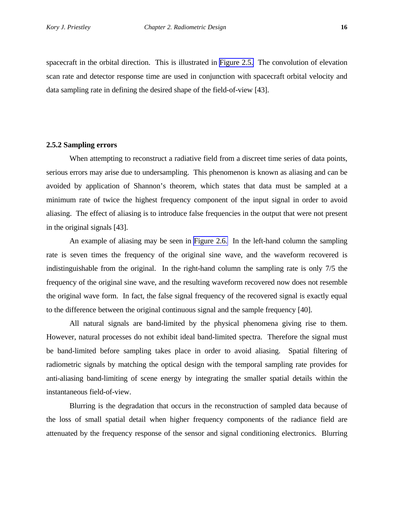<span id="page-7-0"></span>spacecraft in the orbital direction. This is illustrated in [Figure 2.5.](#page-5-0) The convolution of elevation scan rate and detector response time are used in conjunction with spacecraft orbital velocity and data sampling rate in defining the desired shape of the field-of-view [43].

# **2.5.2 Sampling errors**

When attempting to reconstruct a radiative field from a discreet time series of data points, serious errors may arise due to undersampling. This phenomenon is known as aliasing and can be avoided by application of Shannon's theorem, which states that data must be sampled at a minimum rate of twice the highest frequency component of the input signal in order to avoid aliasing. The effect of aliasing is to introduce false frequencies in the output that were not present in the original signals [43].

An example of aliasing may be seen in [Figure 2.6.](#page-6-0) In the left-hand column the sampling rate is seven times the frequency of the original sine wave, and the waveform recovered is indistinguishable from the original. In the right-hand column the sampling rate is only 7/5 the frequency of the original sine wave, and the resulting waveform recovered now does not resemble the original wave form. In fact, the false signal frequency of the recovered signal is exactly equal to the difference between the original continuous signal and the sample frequency [40].

All natural signals are band-limited by the physical phenomena giving rise to them. However, natural processes do not exhibit ideal band-limited spectra. Therefore the signal must be band-limited before sampling takes place in order to avoid aliasing. Spatial filtering of radiometric signals by matching the optical design with the temporal sampling rate provides for anti-aliasing band-limiting of scene energy by integrating the smaller spatial details within the instantaneous field-of-view.

Blurring is the degradation that occurs in the reconstruction of sampled data because of the loss of small spatial detail when higher frequency components of the radiance field are attenuated by the frequency response of the sensor and signal conditioning electronics. Blurring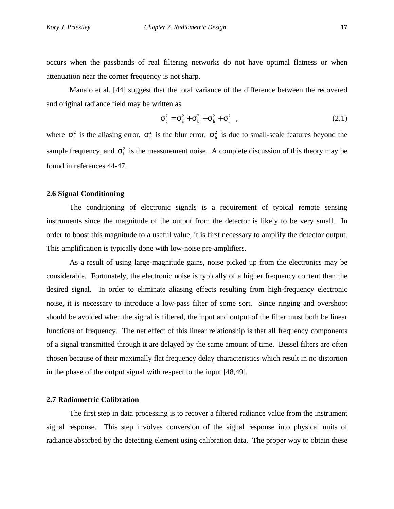occurs when the passbands of real filtering networks do not have optimal flatness or when attenuation near the corner frequency is not sharp.

Manalo et al. [44] suggest that the total variance of the difference between the recovered and original radiance field may be written as

$$
\sigma_{\rm t}^2 = \sigma_{\rm a}^2 + \sigma_{\rm b}^2 + \sigma_{\rm h}^2 + \sigma_{\rm i}^2 \quad , \tag{2.1}
$$

where  $\sigma_a^2$  is the aliasing error,  $\sigma_b^2$  is the blur error,  $\sigma_h^2$  is due to small-scale features beyond the sample frequency, and  $\sigma_i^2$  is the measurement noise. A complete discussion of this theory may be found in references 44-47.

#### **2.6 Signal Conditioning**

The conditioning of electronic signals is a requirement of typical remote sensing instruments since the magnitude of the output from the detector is likely to be very small. In order to boost this magnitude to a useful value, it is first necessary to amplify the detector output. This amplification is typically done with low-noise pre-amplifiers.

As a result of using large-magnitude gains, noise picked up from the electronics may be considerable. Fortunately, the electronic noise is typically of a higher frequency content than the desired signal. In order to eliminate aliasing effects resulting from high-frequency electronic noise, it is necessary to introduce a low-pass filter of some sort. Since ringing and overshoot should be avoided when the signal is filtered, the input and output of the filter must both be linear functions of frequency. The net effect of this linear relationship is that all frequency components of a signal transmitted through it are delayed by the same amount of time. Bessel filters are often chosen because of their maximally flat frequency delay characteristics which result in no distortion in the phase of the output signal with respect to the input [48,49].

# **2.7 Radiometric Calibration**

The first step in data processing is to recover a filtered radiance value from the instrument signal response. This step involves conversion of the signal response into physical units of radiance absorbed by the detecting element using calibration data. The proper way to obtain these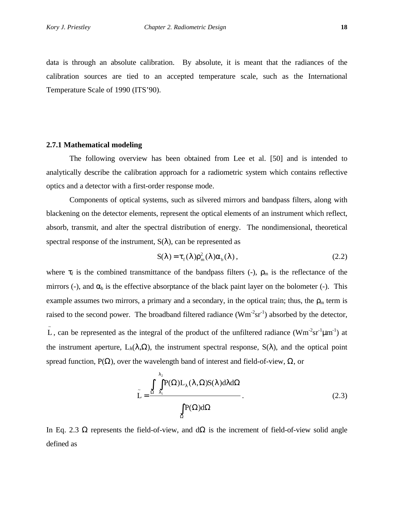data is through an absolute calibration. By absolute, it is meant that the radiances of the calibration sources are tied to an accepted temperature scale, such as the International Temperature Scale of 1990 (ITS'90).

## **2.7.1 Mathematical modeling**

The following overview has been obtained from Lee et al. [50] and is intended to analytically describe the calibration approach for a radiometric system which contains reflective optics and a detector with a first-order response mode.

Components of optical systems, such as silvered mirrors and bandpass filters, along with blackening on the detector elements, represent the optical elements of an instrument which reflect, absorb, transmit, and alter the spectral distribution of energy. The nondimensional, theoretical spectral response of the instrument,  $S(\lambda)$ , can be represented as

$$
S(\lambda) = \tau_f(\lambda) \rho_m^2(\lambda) \alpha_b(\lambda), \qquad (2.2)
$$

where  $\tau_f$  is the combined transmittance of the bandpass filters (-),  $\rho_m$  is the reflectance of the mirrors (-), and  $\alpha_b$  is the effective absorptance of the black paint layer on the bolometer (-). This example assumes two mirrors, a primary and a secondary, in the optical train; thus, the  $\rho_m$  term is raised to the second power. The broadband filtered radiance  $(Wm^{-2}sr^{-1})$  absorbed by the detector, L, can be represented as the integral of the product of the unfiltered radiance  $(\text{Wm}^2 \text{sr}^1 \text{µm}^1)$  at the instrument aperture,  $L_{\lambda}(\lambda,\Omega)$ , the instrument spectral response,  $S(\lambda)$ , and the optical point spread function,  $P(\Omega)$ , over the wavelength band of interest and field-of-view,  $\Omega$ , or

$$
\tilde{L} = \frac{\int_{1}^{1/2} \int_{1}^{2} P(\Omega) L_{1} (1, \Omega) S(1) d\Omega}{\int_{\Omega} P(\Omega) d\Omega}.
$$
\n(2.3)

In Eq. 2.3 Ω represents the field-of-view, and  $dΩ$  is the increment of field-of-view solid angle defined as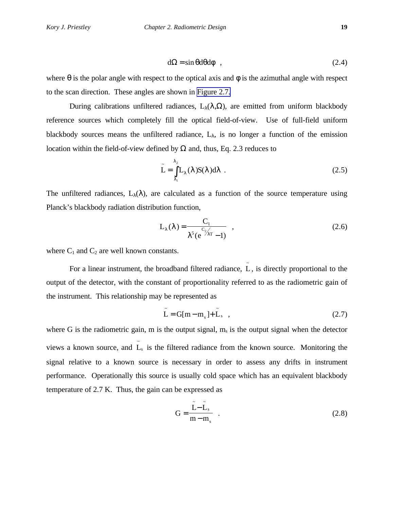$$
d\Omega = \sin\theta d\theta d\phi \quad , \tag{2.4}
$$

where  $\theta$  is the polar angle with respect to the optical axis and  $\phi$  is the azimuthal angle with respect to the scan direction. These angles are shown in [Figure 2.7.](#page-7-0)

During calibrations unfiltered radiances,  $L_{\lambda}(\lambda,\Omega)$ , are emitted from uniform blackbody reference sources which completely fill the optical field-of-view. Use of full-field uniform blackbody sources means the unfiltered radiance,  $L_{\lambda}$ , is no longer a function of the emission location within the field-of-view defined by  $\Omega$  and, thus, Eq. 2.3 reduces to

$$
\tilde{L} = \int_{1}^{1/2} L_1(l) S(l) dl
$$
 (2.5)

The unfiltered radiances,  $L_{\lambda}(\lambda)$ , are calculated as a function of the source temperature using Planck's blackbody radiation distribution function,

$$
L_{1} (l) = \frac{C_{1}}{l^{5} (e^{C_{2}/T} - 1)}, \qquad (2.6)
$$

where  $C_1$  and  $C_2$  are well known constants.

For a linear instrument, the broadband filtered radiance,  $\tilde{L}$ , is directly proportional to the output of the detector, with the constant of proportionality referred to as the radiometric gain of the instrument. This relationship may be represented as

$$
\tilde{L} = G[m - m_s] + \tilde{L}_s \quad , \tag{2.7}
$$

where G is the radiometric gain, m is the output signal,  $m_s$  is the output signal when the detector views a known source, and  $\tilde{L}_s$  is the filtered radiance from the known source. Monitoring the signal relative to a known source is necessary in order to assess any drifts in instrument performance. Operationally this source is usually cold space which has an equivalent blackbody temperature of 2.7 K. Thus, the gain can be expressed as

$$
G = \frac{\tilde{L} - \tilde{L}_s}{m - m_s} \quad . \tag{2.8}
$$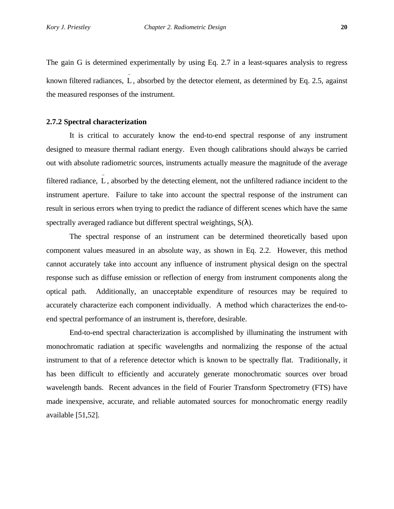The gain G is determined experimentally by using Eq. 2.7 in a least-squares analysis to regress known filtered radiances,  $\tilde{L}$ , absorbed by the detector element, as determined by Eq. 2.5, against the measured responses of the instrument.

# **2.7.2 Spectral characterization**

It is critical to accurately know the end-to-end spectral response of any instrument designed to measure thermal radiant energy. Even though calibrations should always be carried out with absolute radiometric sources, instruments actually measure the magnitude of the average filtered radiance,  $\tilde{L}$ , absorbed by the detecting element, not the unfiltered radiance incident to the instrument aperture. Failure to take into account the spectral response of the instrument can result in serious errors when trying to predict the radiance of different scenes which have the same spectrally averaged radiance but different spectral weightings,  $S(\lambda)$ .

The spectral response of an instrument can be determined theoretically based upon component values measured in an absolute way, as shown in Eq. 2.2. However, this method cannot accurately take into account any influence of instrument physical design on the spectral response such as diffuse emission or reflection of energy from instrument components along the optical path. Additionally, an unacceptable expenditure of resources may be required to accurately characterize each component individually. A method which characterizes the end-toend spectral performance of an instrument is, therefore, desirable.

End-to-end spectral characterization is accomplished by illuminating the instrument with monochromatic radiation at specific wavelengths and normalizing the response of the actual instrument to that of a reference detector which is known to be spectrally flat. Traditionally, it has been difficult to efficiently and accurately generate monochromatic sources over broad wavelength bands. Recent advances in the field of Fourier Transform Spectrometry (FTS) have made inexpensive, accurate, and reliable automated sources for monochromatic energy readily available [51,52].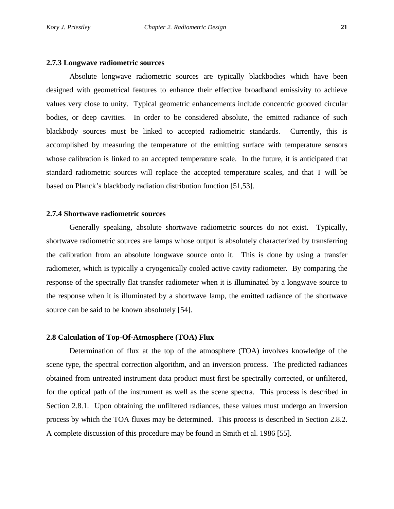#### **2.7.3 Longwave radiometric sources**

Absolute longwave radiometric sources are typically blackbodies which have been designed with geometrical features to enhance their effective broadband emissivity to achieve values very close to unity. Typical geometric enhancements include concentric grooved circular bodies, or deep cavities. In order to be considered absolute, the emitted radiance of such blackbody sources must be linked to accepted radiometric standards. Currently, this is accomplished by measuring the temperature of the emitting surface with temperature sensors whose calibration is linked to an accepted temperature scale. In the future, it is anticipated that standard radiometric sources will replace the accepted temperature scales, and that T will be based on Planck's blackbody radiation distribution function [51,53].

## **2.7.4 Shortwave radiometric sources**

Generally speaking, absolute shortwave radiometric sources do not exist. Typically, shortwave radiometric sources are lamps whose output is absolutely characterized by transferring the calibration from an absolute longwave source onto it. This is done by using a transfer radiometer, which is typically a cryogenically cooled active cavity radiometer. By comparing the response of the spectrally flat transfer radiometer when it is illuminated by a longwave source to the response when it is illuminated by a shortwave lamp, the emitted radiance of the shortwave source can be said to be known absolutely [54].

## **2.8 Calculation of Top-Of-Atmosphere (TOA) Flux**

Determination of flux at the top of the atmosphere (TOA) involves knowledge of the scene type, the spectral correction algorithm, and an inversion process. The predicted radiances obtained from untreated instrument data product must first be spectrally corrected, or unfiltered, for the optical path of the instrument as well as the scene spectra. This process is described in Section 2.8.1. Upon obtaining the unfiltered radiances, these values must undergo an inversion process by which the TOA fluxes may be determined. This process is described in Section 2.8.2. A complete discussion of this procedure may be found in Smith et al. 1986 [55].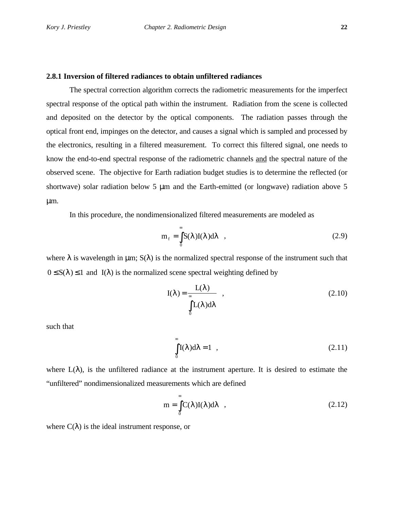## **2.8.1 Inversion of filtered radiances to obtain unfiltered radiances**

The spectral correction algorithm corrects the radiometric measurements for the imperfect spectral response of the optical path within the instrument. Radiation from the scene is collected and deposited on the detector by the optical components. The radiation passes through the optical front end, impinges on the detector, and causes a signal which is sampled and processed by the electronics, resulting in a filtered measurement. To correct this filtered signal, one needs to know the end-to-end spectral response of the radiometric channels and the spectral nature of the observed scene. The objective for Earth radiation budget studies is to determine the reflected (or shortwave) solar radiation below 5 μm and the Earth-emitted (or longwave) radiation above 5 μm.

In this procedure, the nondimensionalized filtered measurements are modeled as

$$
m_f = \int_0^\infty S(\lambda) I(\lambda) d\lambda \quad , \tag{2.9}
$$

where  $\lambda$  is wavelength in  $\mu$ m;  $S(\lambda)$  is the normalized spectral response of the instrument such that  $0 \le S(\lambda) \le 1$  and  $I(\lambda)$  is the normalized scene spectral weighting defined by

$$
I(\lambda) = \frac{L(\lambda)}{\int_{0}^{\infty} L(\lambda) d\lambda} \quad , \tag{2.10}
$$

such that

$$
\int_{0}^{\infty} I(\lambda)d\lambda = 1 \quad , \tag{2.11}
$$

where  $L(\lambda)$ , is the unfiltered radiance at the instrument aperture. It is desired to estimate the "unfiltered" nondimensionalized measurements which are defined

$$
m = \int_{0}^{\infty} C(\lambda)I(\lambda)d\lambda , \qquad (2.12)
$$

where  $C(\lambda)$  is the ideal instrument response, or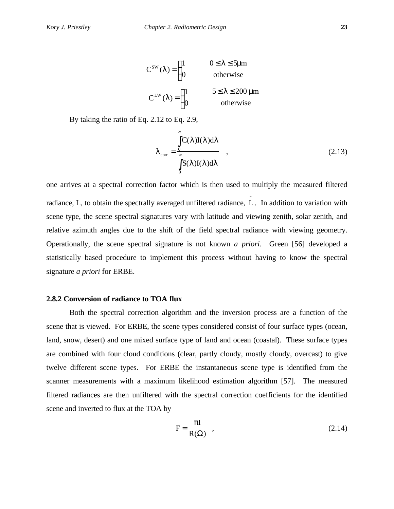$$
C^{SW}(\lambda) = \begin{cases} 1 & 0 \le \lambda \le 5\mu m \\ 0 & \text{otherwise} \end{cases}
$$
  

$$
C^{LW}(\lambda) = \begin{cases} 1 & 5 \le \lambda \le 200 \text{ }\mu m \\ 0 & \text{otherwise} \end{cases}
$$

By taking the ratio of Eq. 2.12 to Eq. 2.9,

$$
\lambda_{\text{corr}} = \frac{\int_{0}^{\infty} C(\lambda) I(\lambda) d\lambda}{\int_{0}^{\infty} S(\lambda) I(\lambda) d\lambda} ,
$$
\n(2.13)

one arrives at a spectral correction factor which is then used to multiply the measured filtered radiance, L, to obtain the spectrally averaged unfiltered radiance,  $\tilde{L}$ . In addition to variation with scene type, the scene spectral signatures vary with latitude and viewing zenith, solar zenith, and relative azimuth angles due to the shift of the field spectral radiance with viewing geometry. Operationally, the scene spectral signature is not known *a priori*. Green [56] developed a statistically based procedure to implement this process without having to know the spectral signature *a priori* for ERBE.

# **2.8.2 Conversion of radiance to TOA flux**

Both the spectral correction algorithm and the inversion process are a function of the scene that is viewed. For ERBE, the scene types considered consist of four surface types (ocean, land, snow, desert) and one mixed surface type of land and ocean (coastal). These surface types are combined with four cloud conditions (clear, partly cloudy, mostly cloudy, overcast) to give twelve different scene types. For ERBE the instantaneous scene type is identified from the scanner measurements with a maximum likelihood estimation algorithm [57]. The measured filtered radiances are then unfiltered with the spectral correction coefficients for the identified scene and inverted to flux at the TOA by

$$
F = \frac{\pi I}{R(\Omega)} \quad , \tag{2.14}
$$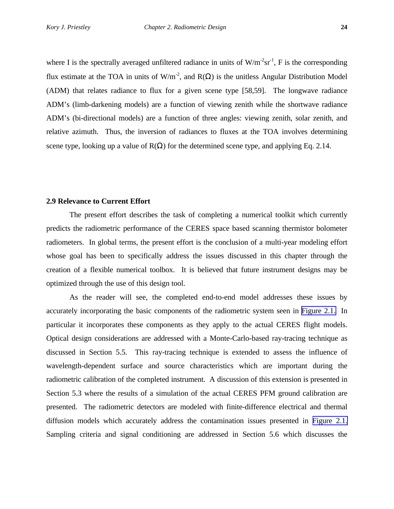where I is the spectrally averaged unfiltered radiance in units of  $W/m^{-2}sr^{-1}$ , F is the corresponding flux estimate at the TOA in units of W/m<sup>-2</sup>, and R( $\Omega$ ) is the unitless Angular Distribution Model (ADM) that relates radiance to flux for a given scene type [58,59]. The longwave radiance ADM's (limb-darkening models) are a function of viewing zenith while the shortwave radiance ADM's (bi-directional models) are a function of three angles: viewing zenith, solar zenith, and relative azimuth. Thus, the inversion of radiances to fluxes at the TOA involves determining scene type, looking up a value of  $R(\Omega)$  for the determined scene type, and applying Eq. 2.14.

# **2.9 Relevance to Current Effort**

The present effort describes the task of completing a numerical toolkit which currently predicts the radiometric performance of the CERES space based scanning thermistor bolometer radiometers. In global terms, the present effort is the conclusion of a multi-year modeling effort whose goal has been to specifically address the issues discussed in this chapter through the creation of a flexible numerical toolbox. It is believed that future instrument designs may be optimized through the use of this design tool.

As the reader will see, the completed end-to-end model addresses these issues by accurately incorporating the basic components of the radiometric system seen in [Figure 2.1.](#page-1-0) In particular it incorporates these components as they apply to the actual CERES flight models. Optical design considerations are addressed with a Monte-Carlo-based ray-tracing technique as discussed in Section 5.5. This ray-tracing technique is extended to assess the influence of wavelength-dependent surface and source characteristics which are important during the radiometric calibration of the completed instrument. A discussion of this extension is presented in Section 5.3 where the results of a simulation of the actual CERES PFM ground calibration are presented. The radiometric detectors are modeled with finite-difference electrical and thermal diffusion models which accurately address the contamination issues presented in [Figure 2.1.](#page-1-0) Sampling criteria and signal conditioning are addressed in Section 5.6 which discusses the